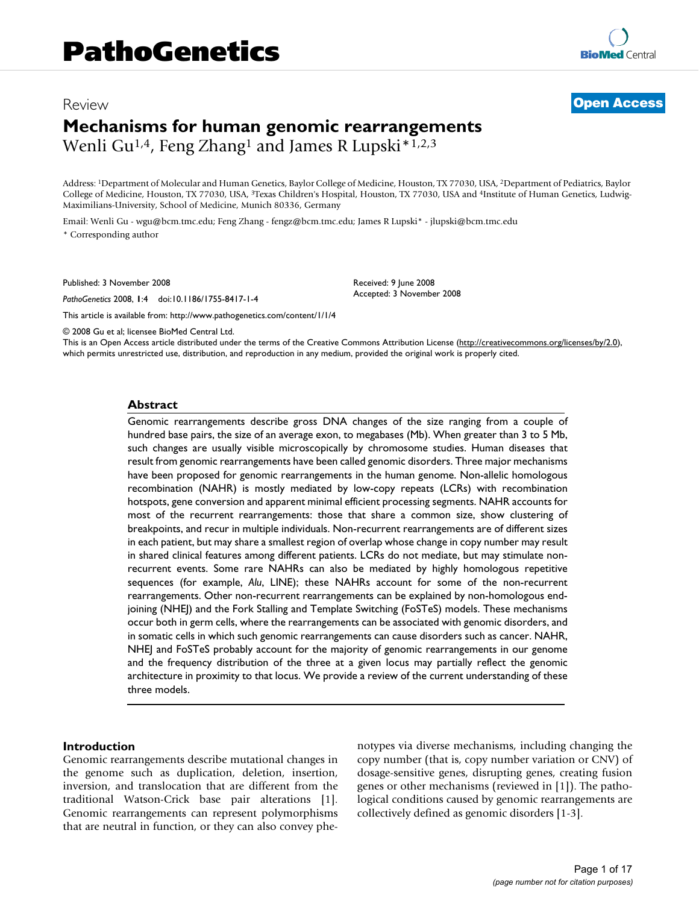# Review **[Open Access](http://www.biomedcentral.com/info/about/charter/) Mechanisms for human genomic rearrangements** Wenli Gu<sup>1,4</sup>, Feng Zhang<sup>1</sup> and James R Lupski<sup>\*1,2,3</sup>

Address: 1Department of Molecular and Human Genetics, Baylor College of Medicine, Houston, TX 77030, USA, 2Department of Pediatrics, Baylor College of Medicine, Houston, TX 77030, USA, 3Texas Children's Hospital, Houston, TX 77030, USA and 4Institute of Human Genetics, Ludwig-Maximilians-University, School of Medicine, Munich 80336, Germany

Email: Wenli Gu - wgu@bcm.tmc.edu; Feng Zhang - fengz@bcm.tmc.edu; James R Lupski\* - jlupski@bcm.tmc.edu \* Corresponding author

Published: 3 November 2008

*PathoGenetics* 2008, **1**:4 doi:10.1186/1755-8417-1-4

[This article is available from: http://www.pathogenetics.com/content/1/1/4](http://www.pathogenetics.com/content/1/1/4)

Received: 9 June 2008 Accepted: 3 November 2008

© 2008 Gu et al; licensee BioMed Central Ltd.

This is an Open Access article distributed under the terms of the Creative Commons Attribution License [\(http://creativecommons.org/licenses/by/2.0\)](http://creativecommons.org/licenses/by/2.0), which permits unrestricted use, distribution, and reproduction in any medium, provided the original work is properly cited.

### **Abstract**

Genomic rearrangements describe gross DNA changes of the size ranging from a couple of hundred base pairs, the size of an average exon, to megabases (Mb). When greater than 3 to 5 Mb, such changes are usually visible microscopically by chromosome studies. Human diseases that result from genomic rearrangements have been called genomic disorders. Three major mechanisms have been proposed for genomic rearrangements in the human genome. Non-allelic homologous recombination (NAHR) is mostly mediated by low-copy repeats (LCRs) with recombination hotspots, gene conversion and apparent minimal efficient processing segments. NAHR accounts for most of the recurrent rearrangements: those that share a common size, show clustering of breakpoints, and recur in multiple individuals. Non-recurrent rearrangements are of different sizes in each patient, but may share a smallest region of overlap whose change in copy number may result in shared clinical features among different patients. LCRs do not mediate, but may stimulate nonrecurrent events. Some rare NAHRs can also be mediated by highly homologous repetitive sequences (for example, *Alu*, LINE); these NAHRs account for some of the non-recurrent rearrangements. Other non-recurrent rearrangements can be explained by non-homologous endjoining (NHEJ) and the Fork Stalling and Template Switching (FoSTeS) models. These mechanisms occur both in germ cells, where the rearrangements can be associated with genomic disorders, and in somatic cells in which such genomic rearrangements can cause disorders such as cancer. NAHR, NHEJ and FoSTeS probably account for the majority of genomic rearrangements in our genome and the frequency distribution of the three at a given locus may partially reflect the genomic architecture in proximity to that locus. We provide a review of the current understanding of these three models.

#### **Introduction**

Genomic rearrangements describe mutational changes in the genome such as duplication, deletion, insertion, inversion, and translocation that are different from the traditional Watson-Crick base pair alterations [1]. Genomic rearrangements can represent polymorphisms that are neutral in function, or they can also convey phenotypes via diverse mechanisms, including changing the copy number (that is, copy number variation or CNV) of dosage-sensitive genes, disrupting genes, creating fusion genes or other mechanisms (reviewed in [1]). The pathological conditions caused by genomic rearrangements are collectively defined as genomic disorders [1-3].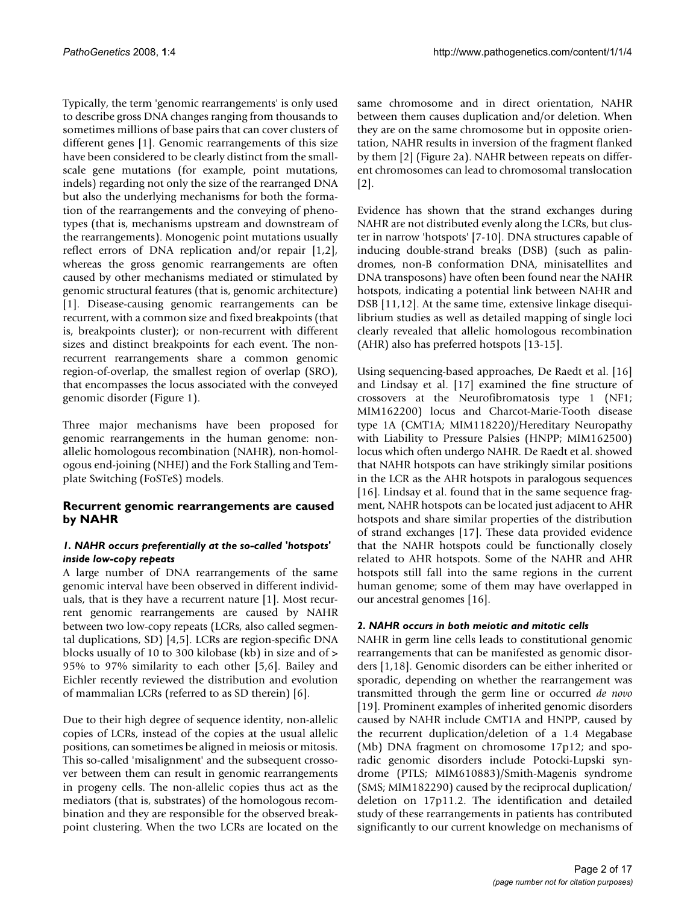Typically, the term 'genomic rearrangements' is only used to describe gross DNA changes ranging from thousands to sometimes millions of base pairs that can cover clusters of different genes [1]. Genomic rearrangements of this size have been considered to be clearly distinct from the smallscale gene mutations (for example, point mutations, indels) regarding not only the size of the rearranged DNA but also the underlying mechanisms for both the formation of the rearrangements and the conveying of phenotypes (that is, mechanisms upstream and downstream of the rearrangements). Monogenic point mutations usually reflect errors of DNA replication and/or repair [1,2], whereas the gross genomic rearrangements are often caused by other mechanisms mediated or stimulated by genomic structural features (that is, genomic architecture) [1]. Disease-causing genomic rearrangements can be recurrent, with a common size and fixed breakpoints (that is, breakpoints cluster); or non-recurrent with different sizes and distinct breakpoints for each event. The nonrecurrent rearrangements share a common genomic region-of-overlap, the smallest region of overlap (SRO), that encompasses the locus associated with the conveyed genomic disorder (Figure 1).

Three major mechanisms have been proposed for genomic rearrangements in the human genome: nonallelic homologous recombination (NAHR), non-homologous end-joining (NHEJ) and the Fork Stalling and Template Switching (FoSTeS) models.

# **Recurrent genomic rearrangements are caused by NAHR**

# *1. NAHR occurs preferentially at the so-called 'hotspots' inside low-copy repeats*

A large number of DNA rearrangements of the same genomic interval have been observed in different individuals, that is they have a recurrent nature [1]. Most recurrent genomic rearrangements are caused by NAHR between two low-copy repeats (LCRs, also called segmental duplications, SD) [4,5]. LCRs are region-specific DNA blocks usually of 10 to 300 kilobase (kb) in size and of > 95% to 97% similarity to each other [5,6]. Bailey and Eichler recently reviewed the distribution and evolution of mammalian LCRs (referred to as SD therein) [6].

Due to their high degree of sequence identity, non-allelic copies of LCRs, instead of the copies at the usual allelic positions, can sometimes be aligned in meiosis or mitosis. This so-called 'misalignment' and the subsequent crossover between them can result in genomic rearrangements in progeny cells. The non-allelic copies thus act as the mediators (that is, substrates) of the homologous recombination and they are responsible for the observed breakpoint clustering. When the two LCRs are located on the same chromosome and in direct orientation, NAHR between them causes duplication and/or deletion. When they are on the same chromosome but in opposite orientation, NAHR results in inversion of the fragment flanked by them [2] (Figure 2a). NAHR between repeats on different chromosomes can lead to chromosomal translocation [2].

Evidence has shown that the strand exchanges during NAHR are not distributed evenly along the LCRs, but cluster in narrow 'hotspots' [7-10]. DNA structures capable of inducing double-strand breaks (DSB) (such as palindromes, non-B conformation DNA, minisatellites and DNA transposons) have often been found near the NAHR hotspots, indicating a potential link between NAHR and DSB [11,12]. At the same time, extensive linkage disequilibrium studies as well as detailed mapping of single loci clearly revealed that allelic homologous recombination (AHR) also has preferred hotspots [13-15].

Using sequencing-based approaches, De Raedt et al. [16] and Lindsay et al. [17] examined the fine structure of crossovers at the Neurofibromatosis type 1 (NF1; MIM162200) locus and Charcot-Marie-Tooth disease type 1A (CMT1A; MIM118220)/Hereditary Neuropathy with Liability to Pressure Palsies (HNPP; MIM162500) locus which often undergo NAHR. De Raedt et al. showed that NAHR hotspots can have strikingly similar positions in the LCR as the AHR hotspots in paralogous sequences [16]. Lindsay et al. found that in the same sequence fragment, NAHR hotspots can be located just adjacent to AHR hotspots and share similar properties of the distribution of strand exchanges [17]. These data provided evidence that the NAHR hotspots could be functionally closely related to AHR hotspots. Some of the NAHR and AHR hotspots still fall into the same regions in the current human genome; some of them may have overlapped in our ancestral genomes [16].

# *2. NAHR occurs in both meiotic and mitotic cells*

NAHR in germ line cells leads to constitutional genomic rearrangements that can be manifested as genomic disorders [1,18]. Genomic disorders can be either inherited or sporadic, depending on whether the rearrangement was transmitted through the germ line or occurred *de novo* [19]. Prominent examples of inherited genomic disorders caused by NAHR include CMT1A and HNPP, caused by the recurrent duplication/deletion of a 1.4 Megabase (Mb) DNA fragment on chromosome 17p12; and sporadic genomic disorders include Potocki-Lupski syndrome (PTLS; MIM610883)/Smith-Magenis syndrome (SMS; MIM182290) caused by the reciprocal duplication/ deletion on 17p11.2. The identification and detailed study of these rearrangements in patients has contributed significantly to our current knowledge on mechanisms of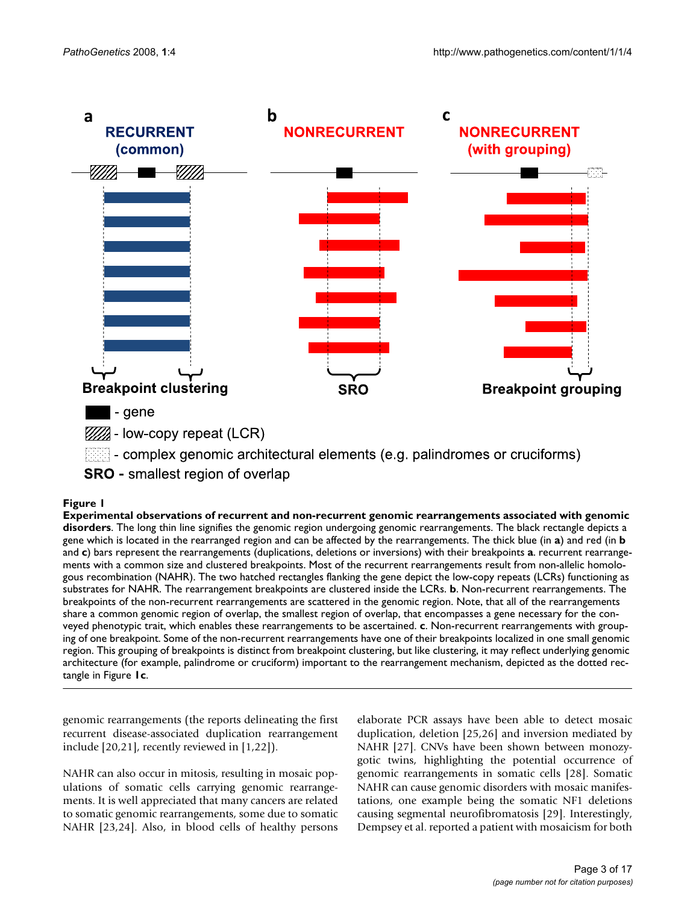

**SRO** - smallest region of overlap

Experimental observations of recurrent **Figure 1** and non-recurrent genomic rearrangements associated with genomic disorders **Experimental observations of recurrent and non-recurrent genomic rearrangements associated with genomic disorders**. The long thin line signifies the genomic region undergoing genomic rearrangements. The black rectangle depicts a gene which is located in the rearranged region and can be affected by the rearrangements. The thick blue (in **a**) and red (in **b**  and **c**) bars represent the rearrangements (duplications, deletions or inversions) with their breakpoints **a**. recurrent rearrangements with a common size and clustered breakpoints. Most of the recurrent rearrangements result from non-allelic homologous recombination (NAHR). The two hatched rectangles flanking the gene depict the low-copy repeats (LCRs) functioning as substrates for NAHR. The rearrangement breakpoints are clustered inside the LCRs. **b**. Non-recurrent rearrangements. The breakpoints of the non-recurrent rearrangements are scattered in the genomic region. Note, that all of the rearrangements share a common genomic region of overlap, the smallest region of overlap, that encompasses a gene necessary for the conveyed phenotypic trait, which enables these rearrangements to be ascertained. **c**. Non-recurrent rearrangements with grouping of one breakpoint. Some of the non-recurrent rearrangements have one of their breakpoints localized in one small genomic region. This grouping of breakpoints is distinct from breakpoint clustering, but like clustering, it may reflect underlying genomic architecture (for example, palindrome or cruciform) important to the rearrangement mechanism, depicted as the dotted rectangle in Figure **1c**.

genomic rearrangements (the reports delineating the first recurrent disease-associated duplication rearrangement include [20,21], recently reviewed in [1,22]).

NAHR can also occur in mitosis, resulting in mosaic populations of somatic cells carrying genomic rearrangements. It is well appreciated that many cancers are related to somatic genomic rearrangements, some due to somatic NAHR [23,24]. Also, in blood cells of healthy persons elaborate PCR assays have been able to detect mosaic duplication, deletion [25,26] and inversion mediated by NAHR [27]. CNVs have been shown between monozygotic twins, highlighting the potential occurrence of genomic rearrangements in somatic cells [28]. Somatic NAHR can cause genomic disorders with mosaic manifestations, one example being the somatic NF1 deletions causing segmental neurofibromatosis [29]. Interestingly, Dempsey et al. reported a patient with mosaicism for both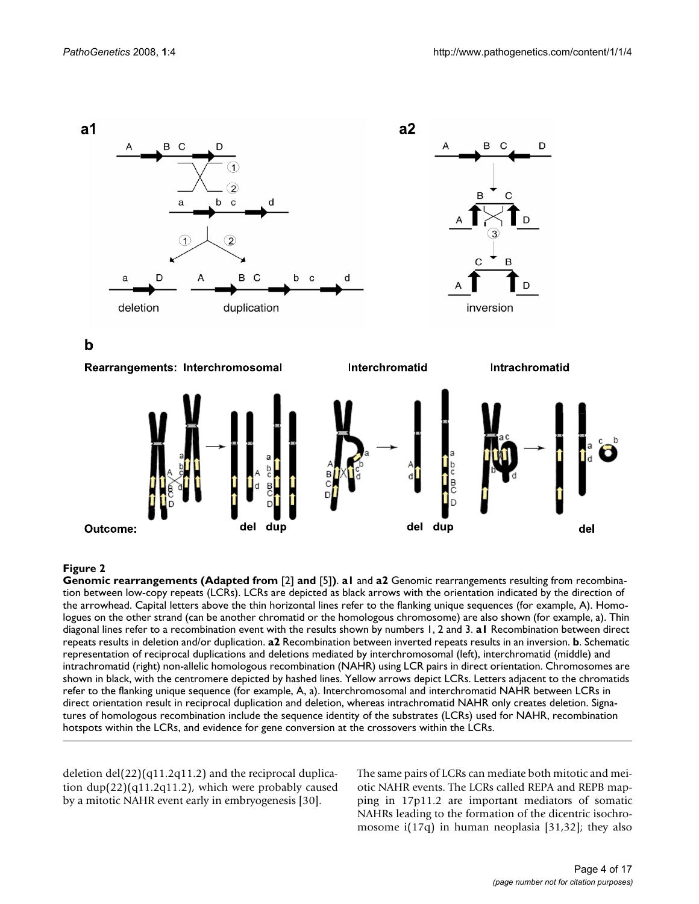

# Figure 2

**Genomic rearrangements (Adapted from** [2] **and** [5]**)**. **a1** and **a2** Genomic rearrangements resulting from recombination between low-copy repeats (LCRs). LCRs are depicted as black arrows with the orientation indicated by the direction of the arrowhead. Capital letters above the thin horizontal lines refer to the flanking unique sequences (for example, A). Homologues on the other strand (can be another chromatid or the homologous chromosome) are also shown (for example, a). Thin diagonal lines refer to a recombination event with the results shown by numbers 1, 2 and 3. **a1** Recombination between direct repeats results in deletion and/or duplication. **a2** Recombination between inverted repeats results in an inversion. **b**. Schematic representation of reciprocal duplications and deletions mediated by interchromosomal (left), interchromatid (middle) and intrachromatid (right) non-allelic homologous recombination (NAHR) using LCR pairs in direct orientation. Chromosomes are shown in black, with the centromere depicted by hashed lines. Yellow arrows depict LCRs. Letters adjacent to the chromatids refer to the flanking unique sequence (for example, A, a). Interchromosomal and interchromatid NAHR between LCRs in direct orientation result in reciprocal duplication and deletion, whereas intrachromatid NAHR only creates deletion. Signatures of homologous recombination include the sequence identity of the substrates (LCRs) used for NAHR, recombination hotspots within the LCRs, and evidence for gene conversion at the crossovers within the LCRs.

deletion del(22)(q11.2q11.2) and the reciprocal duplication dup(22)(q11.2q11.2), which were probably caused by a mitotic NAHR event early in embryogenesis [30].

The same pairs of LCRs can mediate both mitotic and meiotic NAHR events. The LCRs called REPA and REPB mapping in 17p11.2 are important mediators of somatic NAHRs leading to the formation of the dicentric isochromosome i(17q) in human neoplasia [31,32]; they also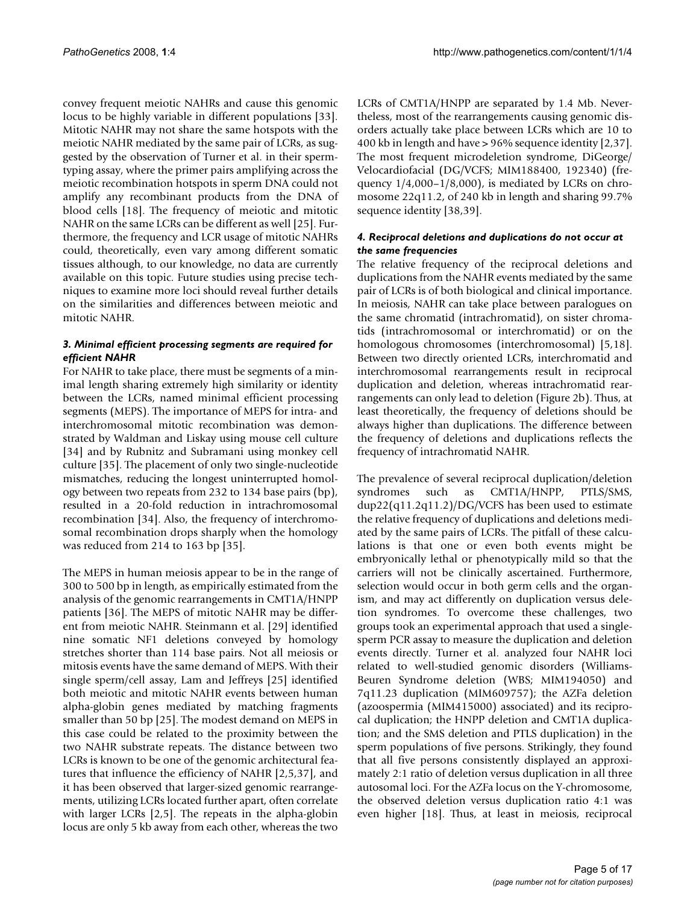convey frequent meiotic NAHRs and cause this genomic locus to be highly variable in different populations [33]. Mitotic NAHR may not share the same hotspots with the meiotic NAHR mediated by the same pair of LCRs, as suggested by the observation of Turner et al. in their spermtyping assay, where the primer pairs amplifying across the meiotic recombination hotspots in sperm DNA could not amplify any recombinant products from the DNA of blood cells [18]. The frequency of meiotic and mitotic NAHR on the same LCRs can be different as well [25]. Furthermore, the frequency and LCR usage of mitotic NAHRs could, theoretically, even vary among different somatic tissues although, to our knowledge, no data are currently available on this topic. Future studies using precise techniques to examine more loci should reveal further details on the similarities and differences between meiotic and mitotic NAHR.

# *3. Minimal efficient processing segments are required for efficient NAHR*

For NAHR to take place, there must be segments of a minimal length sharing extremely high similarity or identity between the LCRs, named minimal efficient processing segments (MEPS). The importance of MEPS for intra- and interchromosomal mitotic recombination was demonstrated by Waldman and Liskay using mouse cell culture [34] and by Rubnitz and Subramani using monkey cell culture [35]. The placement of only two single-nucleotide mismatches, reducing the longest uninterrupted homology between two repeats from 232 to 134 base pairs (bp), resulted in a 20-fold reduction in intrachromosomal recombination [34]. Also, the frequency of interchromosomal recombination drops sharply when the homology was reduced from 214 to 163 bp [35].

The MEPS in human meiosis appear to be in the range of 300 to 500 bp in length, as empirically estimated from the analysis of the genomic rearrangements in CMT1A/HNPP patients [36]. The MEPS of mitotic NAHR may be different from meiotic NAHR. Steinmann et al. [29] identified nine somatic NF1 deletions conveyed by homology stretches shorter than 114 base pairs. Not all meiosis or mitosis events have the same demand of MEPS. With their single sperm/cell assay, Lam and Jeffreys [25] identified both meiotic and mitotic NAHR events between human alpha-globin genes mediated by matching fragments smaller than 50 bp [25]. The modest demand on MEPS in this case could be related to the proximity between the two NAHR substrate repeats. The distance between two LCRs is known to be one of the genomic architectural features that influence the efficiency of NAHR [2,5,37], and it has been observed that larger-sized genomic rearrangements, utilizing LCRs located further apart, often correlate with larger LCRs [2,5]. The repeats in the alpha-globin locus are only 5 kb away from each other, whereas the two

LCRs of CMT1A/HNPP are separated by 1.4 Mb. Nevertheless, most of the rearrangements causing genomic disorders actually take place between LCRs which are 10 to 400 kb in length and have > 96% sequence identity [2,37]. The most frequent microdeletion syndrome, DiGeorge/ Velocardiofacial (DG/VCFS; MIM188400, 192340) (frequency 1/4,000–1/8,000), is mediated by LCRs on chromosome 22q11.2, of 240 kb in length and sharing 99.7% sequence identity [38,39].

# *4. Reciprocal deletions and duplications do not occur at the same frequencies*

The relative frequency of the reciprocal deletions and duplications from the NAHR events mediated by the same pair of LCRs is of both biological and clinical importance. In meiosis, NAHR can take place between paralogues on the same chromatid (intrachromatid), on sister chromatids (intrachromosomal or interchromatid) or on the homologous chromosomes (interchromosomal) [5,18]. Between two directly oriented LCRs, interchromatid and interchromosomal rearrangements result in reciprocal duplication and deletion, whereas intrachromatid rearrangements can only lead to deletion (Figure 2b). Thus, at least theoretically, the frequency of deletions should be always higher than duplications. The difference between the frequency of deletions and duplications reflects the frequency of intrachromatid NAHR.

The prevalence of several reciprocal duplication/deletion syndromes such as CMT1A/HNPP, PTLS/SMS, dup22(q11.2q11.2)/DG/VCFS has been used to estimate the relative frequency of duplications and deletions mediated by the same pairs of LCRs. The pitfall of these calculations is that one or even both events might be embryonically lethal or phenotypically mild so that the carriers will not be clinically ascertained. Furthermore, selection would occur in both germ cells and the organism, and may act differently on duplication versus deletion syndromes. To overcome these challenges, two groups took an experimental approach that used a singlesperm PCR assay to measure the duplication and deletion events directly. Turner et al. analyzed four NAHR loci related to well-studied genomic disorders (Williams-Beuren Syndrome deletion (WBS; MIM194050) and 7q11.23 duplication (MIM609757); the AZFa deletion (azoospermia (MIM415000) associated) and its reciprocal duplication; the HNPP deletion and CMT1A duplication; and the SMS deletion and PTLS duplication) in the sperm populations of five persons. Strikingly, they found that all five persons consistently displayed an approximately 2:1 ratio of deletion versus duplication in all three autosomal loci. For the AZFa locus on the Y-chromosome, the observed deletion versus duplication ratio 4:1 was even higher [18]. Thus, at least in meiosis, reciprocal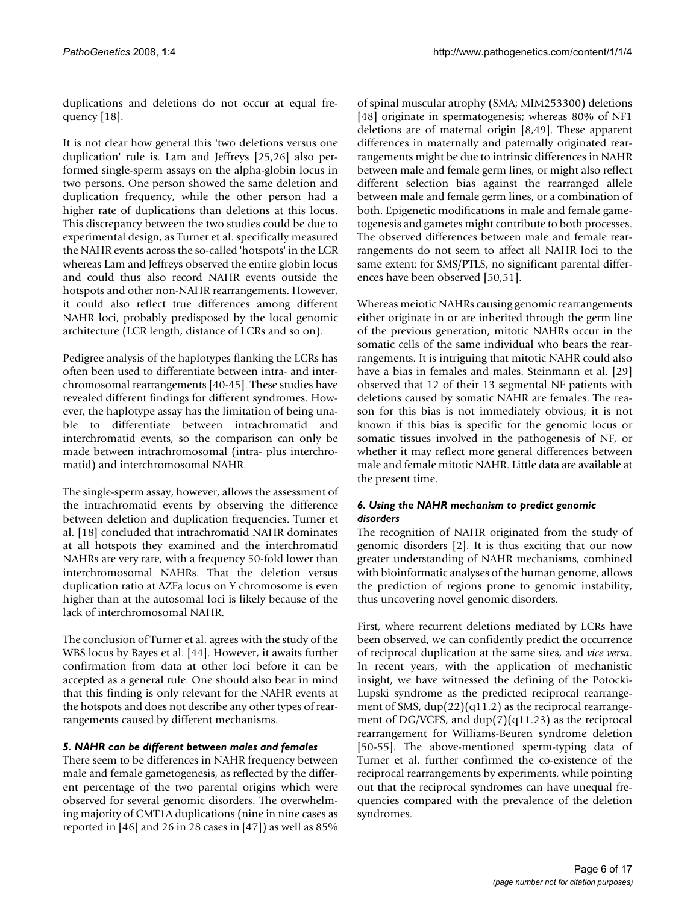duplications and deletions do not occur at equal frequency [18].

It is not clear how general this 'two deletions versus one duplication' rule is. Lam and Jeffreys [25,26] also performed single-sperm assays on the alpha-globin locus in two persons. One person showed the same deletion and duplication frequency, while the other person had a higher rate of duplications than deletions at this locus. This discrepancy between the two studies could be due to experimental design, as Turner et al. specifically measured the NAHR events across the so-called 'hotspots' in the LCR whereas Lam and Jeffreys observed the entire globin locus and could thus also record NAHR events outside the hotspots and other non-NAHR rearrangements. However, it could also reflect true differences among different NAHR loci, probably predisposed by the local genomic architecture (LCR length, distance of LCRs and so on).

Pedigree analysis of the haplotypes flanking the LCRs has often been used to differentiate between intra- and interchromosomal rearrangements [40-45]. These studies have revealed different findings for different syndromes. However, the haplotype assay has the limitation of being unable to differentiate between intrachromatid and interchromatid events, so the comparison can only be made between intrachromosomal (intra- plus interchromatid) and interchromosomal NAHR.

The single-sperm assay, however, allows the assessment of the intrachromatid events by observing the difference between deletion and duplication frequencies. Turner et al. [18] concluded that intrachromatid NAHR dominates at all hotspots they examined and the interchromatid NAHRs are very rare, with a frequency 50-fold lower than interchromosomal NAHRs. That the deletion versus duplication ratio at AZFa locus on Y chromosome is even higher than at the autosomal loci is likely because of the lack of interchromosomal NAHR.

The conclusion of Turner et al. agrees with the study of the WBS locus by Bayes et al. [44]. However, it awaits further confirmation from data at other loci before it can be accepted as a general rule. One should also bear in mind that this finding is only relevant for the NAHR events at the hotspots and does not describe any other types of rearrangements caused by different mechanisms.

# *5. NAHR can be different between males and females*

There seem to be differences in NAHR frequency between male and female gametogenesis, as reflected by the different percentage of the two parental origins which were observed for several genomic disorders. The overwhelming majority of CMT1A duplications (nine in nine cases as reported in [46] and 26 in 28 cases in [47]) as well as 85%

of spinal muscular atrophy (SMA; MIM253300) deletions [48] originate in spermatogenesis; whereas 80% of NF1 deletions are of maternal origin [8,49]. These apparent differences in maternally and paternally originated rearrangements might be due to intrinsic differences in NAHR between male and female germ lines, or might also reflect different selection bias against the rearranged allele between male and female germ lines, or a combination of both. Epigenetic modifications in male and female gametogenesis and gametes might contribute to both processes. The observed differences between male and female rearrangements do not seem to affect all NAHR loci to the same extent: for SMS/PTLS, no significant parental differences have been observed [50,51].

Whereas meiotic NAHRs causing genomic rearrangements either originate in or are inherited through the germ line of the previous generation, mitotic NAHRs occur in the somatic cells of the same individual who bears the rearrangements. It is intriguing that mitotic NAHR could also have a bias in females and males. Steinmann et al. [29] observed that 12 of their 13 segmental NF patients with deletions caused by somatic NAHR are females. The reason for this bias is not immediately obvious; it is not known if this bias is specific for the genomic locus or somatic tissues involved in the pathogenesis of NF, or whether it may reflect more general differences between male and female mitotic NAHR. Little data are available at the present time.

# *6. Using the NAHR mechanism to predict genomic disorders*

The recognition of NAHR originated from the study of genomic disorders [2]. It is thus exciting that our now greater understanding of NAHR mechanisms, combined with bioinformatic analyses of the human genome, allows the prediction of regions prone to genomic instability, thus uncovering novel genomic disorders.

First, where recurrent deletions mediated by LCRs have been observed, we can confidently predict the occurrence of reciprocal duplication at the same sites, and *vice versa*. In recent years, with the application of mechanistic insight, we have witnessed the defining of the Potocki-Lupski syndrome as the predicted reciprocal rearrangement of SMS, dup(22)(q11.2) as the reciprocal rearrangement of DG/VCFS, and dup(7)(q11.23) as the reciprocal rearrangement for Williams-Beuren syndrome deletion [50-55]. The above-mentioned sperm-typing data of Turner et al. further confirmed the co-existence of the reciprocal rearrangements by experiments, while pointing out that the reciprocal syndromes can have unequal frequencies compared with the prevalence of the deletion syndromes.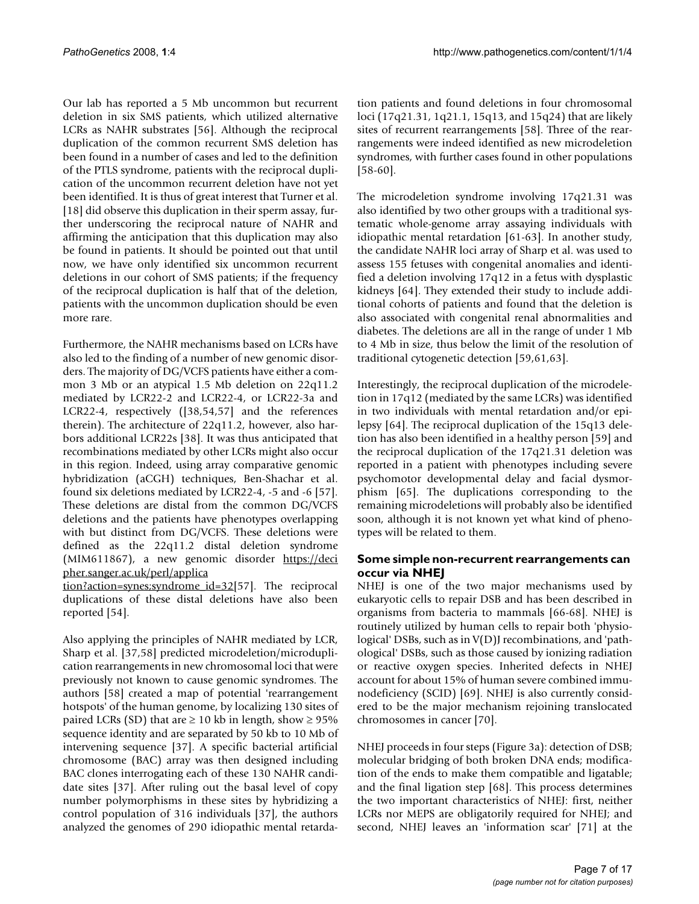Our lab has reported a 5 Mb uncommon but recurrent deletion in six SMS patients, which utilized alternative LCRs as NAHR substrates [56]. Although the reciprocal duplication of the common recurrent SMS deletion has been found in a number of cases and led to the definition of the PTLS syndrome, patients with the reciprocal duplication of the uncommon recurrent deletion have not yet been identified. It is thus of great interest that Turner et al. [18] did observe this duplication in their sperm assay, further underscoring the reciprocal nature of NAHR and affirming the anticipation that this duplication may also be found in patients. It should be pointed out that until now, we have only identified six uncommon recurrent deletions in our cohort of SMS patients; if the frequency of the reciprocal duplication is half that of the deletion, patients with the uncommon duplication should be even more rare.

Furthermore, the NAHR mechanisms based on LCRs have also led to the finding of a number of new genomic disorders. The majority of DG/VCFS patients have either a common 3 Mb or an atypical 1.5 Mb deletion on 22q11.2 mediated by LCR22-2 and LCR22-4, or LCR22-3a and LCR22-4, respectively ([38,54,57] and the references therein). The architecture of 22q11.2, however, also harbors additional LCR22s [38]. It was thus anticipated that recombinations mediated by other LCRs might also occur in this region. Indeed, using array comparative genomic hybridization (aCGH) techniques, Ben-Shachar et al. found six deletions mediated by LCR22-4, -5 and -6 [57]. These deletions are distal from the common DG/VCFS deletions and the patients have phenotypes overlapping with but distinct from DG/VCFS. These deletions were defined as the 22q11.2 distal deletion syndrome (MIM611867), a new genomic disorder [https://deci](https://decipher.sanger.ac.uk/perl/application?action=syndromes;syndrome_id=32) [pher.sanger.ac.uk/perl/applica](https://decipher.sanger.ac.uk/perl/application?action=syndromes;syndrome_id=32)

[tion?action=synes;syndrome\\_id=32\[](https://decipher.sanger.ac.uk/perl/application?action=syndromes;syndrome_id=32)57]. The reciprocal duplications of these distal deletions have also been reported [54].

Also applying the principles of NAHR mediated by LCR, Sharp et al. [37,58] predicted microdeletion/microduplication rearrangements in new chromosomal loci that were previously not known to cause genomic syndromes. The authors [58] created a map of potential 'rearrangement hotspots' of the human genome, by localizing 130 sites of paired LCRs (SD) that are  $\geq 10$  kb in length, show  $\geq 95\%$ sequence identity and are separated by 50 kb to 10 Mb of intervening sequence [37]. A specific bacterial artificial chromosome (BAC) array was then designed including BAC clones interrogating each of these 130 NAHR candidate sites [37]. After ruling out the basal level of copy number polymorphisms in these sites by hybridizing a control population of 316 individuals [37], the authors analyzed the genomes of 290 idiopathic mental retardation patients and found deletions in four chromosomal loci (17q21.31, 1q21.1, 15q13, and 15q24) that are likely sites of recurrent rearrangements [58]. Three of the rearrangements were indeed identified as new microdeletion syndromes, with further cases found in other populations [58-60].

The microdeletion syndrome involving 17q21.31 was also identified by two other groups with a traditional systematic whole-genome array assaying individuals with idiopathic mental retardation [61-63]. In another study, the candidate NAHR loci array of Sharp et al. was used to assess 155 fetuses with congenital anomalies and identified a deletion involving 17q12 in a fetus with dysplastic kidneys [64]. They extended their study to include additional cohorts of patients and found that the deletion is also associated with congenital renal abnormalities and diabetes. The deletions are all in the range of under 1 Mb to 4 Mb in size, thus below the limit of the resolution of traditional cytogenetic detection [59,61,63].

Interestingly, the reciprocal duplication of the microdeletion in 17q12 (mediated by the same LCRs) was identified in two individuals with mental retardation and/or epilepsy [64]. The reciprocal duplication of the 15q13 deletion has also been identified in a healthy person [59] and the reciprocal duplication of the 17q21.31 deletion was reported in a patient with phenotypes including severe psychomotor developmental delay and facial dysmorphism [65]. The duplications corresponding to the remaining microdeletions will probably also be identified soon, although it is not known yet what kind of phenotypes will be related to them.

# **Some simple non-recurrent rearrangements can occur via NHEJ**

NHEJ is one of the two major mechanisms used by eukaryotic cells to repair DSB and has been described in organisms from bacteria to mammals [66-68]. NHEJ is routinely utilized by human cells to repair both 'physiological' DSBs, such as in V(D)J recombinations, and 'pathological' DSBs, such as those caused by ionizing radiation or reactive oxygen species. Inherited defects in NHEJ account for about 15% of human severe combined immunodeficiency (SCID) [69]. NHEJ is also currently considered to be the major mechanism rejoining translocated chromosomes in cancer [70].

NHEJ proceeds in four steps (Figure 3a): detection of DSB; molecular bridging of both broken DNA ends; modification of the ends to make them compatible and ligatable; and the final ligation step [68]. This process determines the two important characteristics of NHEJ: first, neither LCRs nor MEPS are obligatorily required for NHEJ; and second, NHEJ leaves an 'information scar' [71] at the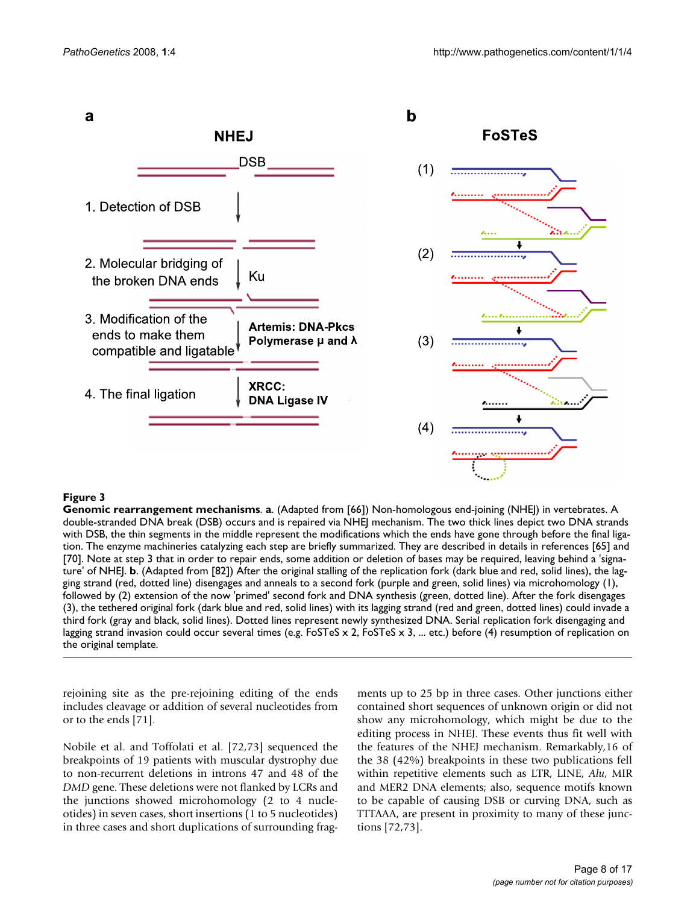

### **Figure 3**

**Genomic rearrangement mechanisms**. **a**. (Adapted from [66]) Non-homologous end-joining (NHEJ) in vertebrates. A double-stranded DNA break (DSB) occurs and is repaired via NHEJ mechanism. The two thick lines depict two DNA strands with DSB, the thin segments in the middle represent the modifications which the ends have gone through before the final ligation. The enzyme machineries catalyzing each step are briefly summarized. They are described in details in references [65] and [70]. Note at step 3 that in order to repair ends, some addition or deletion of bases may be required, leaving behind a 'signature' of NHEJ. **b**. (Adapted from [82]) After the original stalling of the replication fork (dark blue and red, solid lines), the lagging strand (red, dotted line) disengages and anneals to a second fork (purple and green, solid lines) via microhomology (1), followed by (2) extension of the now 'primed' second fork and DNA synthesis (green, dotted line). After the fork disengages (3), the tethered original fork (dark blue and red, solid lines) with its lagging strand (red and green, dotted lines) could invade a third fork (gray and black, solid lines). Dotted lines represent newly synthesized DNA. Serial replication fork disengaging and lagging strand invasion could occur several times (e.g. FoSTeS x 2, FoSTeS x 3, ... etc.) before (4) resumption of replication on the original template.

rejoining site as the pre-rejoining editing of the ends includes cleavage or addition of several nucleotides from or to the ends [71].

Nobile et al. and Toffolati et al. [72,73] sequenced the breakpoints of 19 patients with muscular dystrophy due to non-recurrent deletions in introns 47 and 48 of the *DMD* gene. These deletions were not flanked by LCRs and the junctions showed microhomology (2 to 4 nucleotides) in seven cases, short insertions (1 to 5 nucleotides) in three cases and short duplications of surrounding fragments up to 25 bp in three cases. Other junctions either contained short sequences of unknown origin or did not show any microhomology, which might be due to the editing process in NHEJ. These events thus fit well with the features of the NHEJ mechanism. Remarkably,16 of the 38 (42%) breakpoints in these two publications fell within repetitive elements such as LTR, LINE, *Alu*, MIR and MER2 DNA elements; also, sequence motifs known to be capable of causing DSB or curving DNA, such as TTTAAA, are present in proximity to many of these junctions [72,73].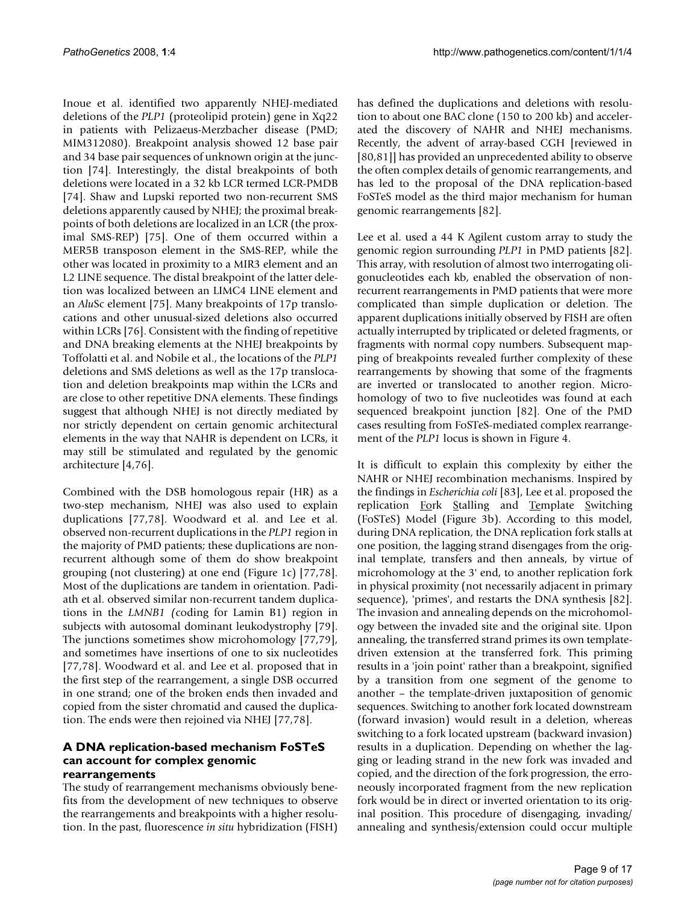Inoue et al. identified two apparently NHEJ-mediated deletions of the *PLP1* (proteolipid protein) gene in Xq22 in patients with Pelizaeus-Merzbacher disease (PMD; MIM312080). Breakpoint analysis showed 12 base pair and 34 base pair sequences of unknown origin at the junction [74]. Interestingly, the distal breakpoints of both deletions were located in a 32 kb LCR termed LCR-PMDB [74]. Shaw and Lupski reported two non-recurrent SMS deletions apparently caused by NHEJ; the proximal breakpoints of both deletions are localized in an LCR (the proximal SMS-REP) [75]. One of them occurred within a MER5B transposon element in the SMS-REP, while the other was located in proximity to a MIR3 element and an L2 LINE sequence. The distal breakpoint of the latter deletion was localized between an LIMC4 LINE element and an *Alu*Sc element [75]. Many breakpoints of 17p translocations and other unusual-sized deletions also occurred within LCRs [76]. Consistent with the finding of repetitive and DNA breaking elements at the NHEJ breakpoints by Toffolatti et al. and Nobile et al., the locations of the *PLP1* deletions and SMS deletions as well as the 17p translocation and deletion breakpoints map within the LCRs and are close to other repetitive DNA elements. These findings suggest that although NHEJ is not directly mediated by nor strictly dependent on certain genomic architectural elements in the way that NAHR is dependent on LCRs, it may still be stimulated and regulated by the genomic architecture [4,76].

Combined with the DSB homologous repair (HR) as a two-step mechanism, NHEJ was also used to explain duplications [77,78]. Woodward et al. and Lee et al. observed non-recurrent duplications in the *PLP1* region in the majority of PMD patients; these duplications are nonrecurrent although some of them do show breakpoint grouping (not clustering) at one end (Figure 1c) [77,78]. Most of the duplications are tandem in orientation. Padiath et al. observed similar non-recurrent tandem duplications in the *LMNB1 (*coding for Lamin B1) region in subjects with autosomal dominant leukodystrophy [79]. The junctions sometimes show microhomology [77,79], and sometimes have insertions of one to six nucleotides [77,78]. Woodward et al. and Lee et al. proposed that in the first step of the rearrangement, a single DSB occurred in one strand; one of the broken ends then invaded and copied from the sister chromatid and caused the duplication. The ends were then rejoined via NHEJ [77,78].

# **A DNA replication-based mechanism FoSTeS can account for complex genomic rearrangements**

The study of rearrangement mechanisms obviously benefits from the development of new techniques to observe the rearrangements and breakpoints with a higher resolution. In the past, fluorescence *in situ* hybridization (FISH)

has defined the duplications and deletions with resolution to about one BAC clone (150 to 200 kb) and accelerated the discovery of NAHR and NHEJ mechanisms. Recently, the advent of array-based CGH [reviewed in [80,81]] has provided an unprecedented ability to observe the often complex details of genomic rearrangements, and has led to the proposal of the DNA replication-based FoSTeS model as the third major mechanism for human genomic rearrangements [82].

Lee et al. used a 44 K Agilent custom array to study the genomic region surrounding *PLP1* in PMD patients [82]. This array, with resolution of almost two interrogating oligonucleotides each kb, enabled the observation of nonrecurrent rearrangements in PMD patients that were more complicated than simple duplication or deletion. The apparent duplications initially observed by FISH are often actually interrupted by triplicated or deleted fragments, or fragments with normal copy numbers. Subsequent mapping of breakpoints revealed further complexity of these rearrangements by showing that some of the fragments are inverted or translocated to another region. Microhomology of two to five nucleotides was found at each sequenced breakpoint junction [82]. One of the PMD cases resulting from FoSTeS-mediated complex rearrangement of the *PLP1* locus is shown in Figure 4.

It is difficult to explain this complexity by either the NAHR or NHEJ recombination mechanisms. Inspired by the findings in *Escherichia coli* [83], Lee et al. proposed the replication Fork Stalling and Template Switching (FoSTeS) Model (Figure 3b). According to this model, during DNA replication, the DNA replication fork stalls at one position, the lagging strand disengages from the original template, transfers and then anneals, by virtue of microhomology at the 3' end, to another replication fork in physical proximity (not necessarily adjacent in primary sequence), 'primes', and restarts the DNA synthesis [82]. The invasion and annealing depends on the microhomology between the invaded site and the original site. Upon annealing, the transferred strand primes its own templatedriven extension at the transferred fork. This priming results in a 'join point' rather than a breakpoint, signified by a transition from one segment of the genome to another – the template-driven juxtaposition of genomic sequences. Switching to another fork located downstream (forward invasion) would result in a deletion, whereas switching to a fork located upstream (backward invasion) results in a duplication. Depending on whether the lagging or leading strand in the new fork was invaded and copied, and the direction of the fork progression, the erroneously incorporated fragment from the new replication fork would be in direct or inverted orientation to its original position. This procedure of disengaging, invading/ annealing and synthesis/extension could occur multiple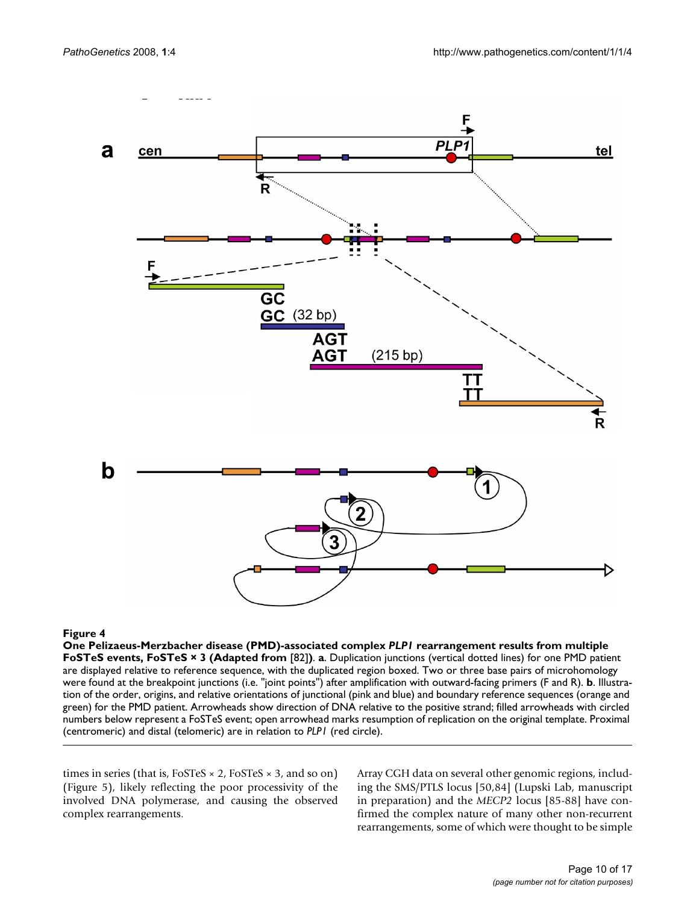

# One Pelizaeus-Merzbacher dise FoSTeS × 3 (Adapted from [82]) **Figure 4** ase (PMD)-associated complex *PLP1* rearrangement results from multiple FoSTeS events,

**One Pelizaeus-Merzbacher disease (PMD)-associated complex** *PLP1* **rearrangement results from multiple FoSTeS events, FoSTeS × 3 (Adapted from** [82]**)**. **a**. Duplication junctions (vertical dotted lines) for one PMD patient are displayed relative to reference sequence, with the duplicated region boxed. Two or three base pairs of microhomology were found at the breakpoint junctions (i.e. "joint points") after amplification with outward-facing primers (F and R). **b**. Illustration of the order, origins, and relative orientations of junctional (pink and blue) and boundary reference sequences (orange and green) for the PMD patient. Arrowheads show direction of DNA relative to the positive strand; filled arrowheads with circled numbers below represent a FoSTeS event; open arrowhead marks resumption of replication on the original template. Proximal (centromeric) and distal (telomeric) are in relation to *PLP1* (red circle).

times in series (that is, FoSTeS  $\times$  2, FoSTeS  $\times$  3, and so on) (Figure 5), likely reflecting the poor processivity of the involved DNA polymerase, and causing the observed complex rearrangements.

Array CGH data on several other genomic regions, including the SMS/PTLS locus [50,84] (Lupski Lab, manuscript in preparation) and the *MECP2* locus [85-88] have confirmed the complex nature of many other non-recurrent rearrangements, some of which were thought to be simple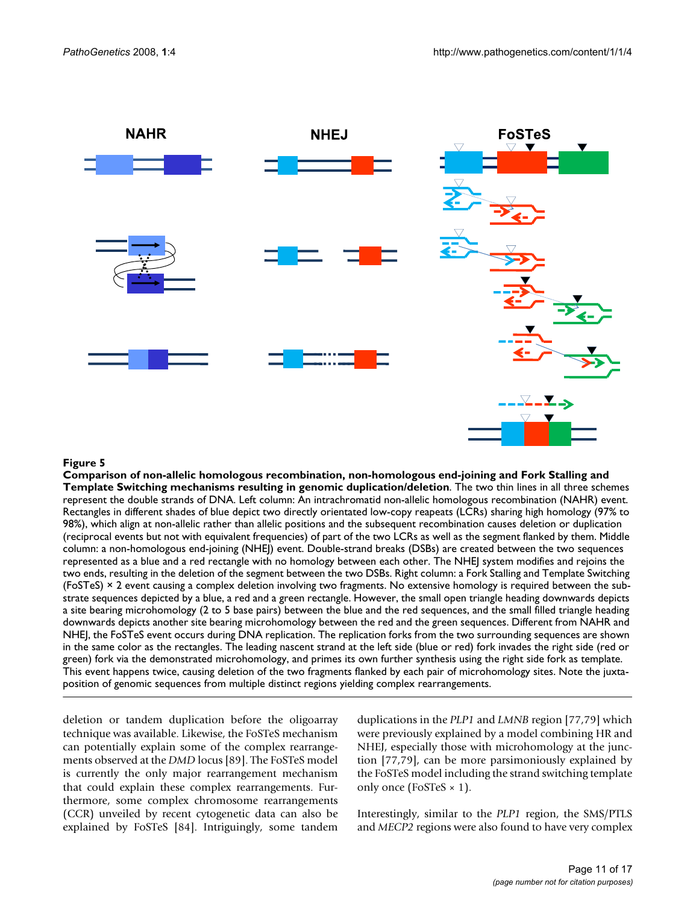

# Comparison of non-allelic homo mechanisms resulting in genomic duplication/deletion **Figure 5** logous recombination, non-homologous end-joining and Fork Stalling and Template Switching

**Comparison of non-allelic homologous recombination, non-homologous end-joining and Fork Stalling and Template Switching mechanisms resulting in genomic duplication/deletion**. The two thin lines in all three schemes represent the double strands of DNA. Left column: An intrachromatid non-allelic homologous recombination (NAHR) event. Rectangles in different shades of blue depict two directly orientated low-copy reapeats (LCRs) sharing high homology (97% to 98%), which align at non-allelic rather than allelic positions and the subsequent recombination causes deletion or duplication (reciprocal events but not with equivalent frequencies) of part of the two LCRs as well as the segment flanked by them. Middle column: a non-homologous end-joining (NHEJ) event. Double-strand breaks (DSBs) are created between the two sequences represented as a blue and a red rectangle with no homology between each other. The NHEJ system modifies and rejoins the two ends, resulting in the deletion of the segment between the two DSBs. Right column: a Fork Stalling and Template Switching (FoSTeS) × 2 event causing a complex deletion involving two fragments. No extensive homology is required between the substrate sequences depicted by a blue, a red and a green rectangle. However, the small open triangle heading downwards depicts a site bearing microhomology (2 to 5 base pairs) between the blue and the red sequences, and the small filled triangle heading downwards depicts another site bearing microhomology between the red and the green sequences. Different from NAHR and NHEJ, the FoSTeS event occurs during DNA replication. The replication forks from the two surrounding sequences are shown in the same color as the rectangles. The leading nascent strand at the left side (blue or red) fork invades the right side (red or green) fork via the demonstrated microhomology, and primes its own further synthesis using the right side fork as template. This event happens twice, causing deletion of the two fragments flanked by each pair of microhomology sites. Note the juxtaposition of genomic sequences from multiple distinct regions yielding complex rearrangements.

deletion or tandem duplication before the oligoarray technique was available. Likewise, the FoSTeS mechanism can potentially explain some of the complex rearrangements observed at the *DMD* locus [89]. The FoSTeS model is currently the only major rearrangement mechanism that could explain these complex rearrangements. Furthermore, some complex chromosome rearrangements (CCR) unveiled by recent cytogenetic data can also be explained by FoSTeS [84]. Intriguingly, some tandem duplications in the *PLP1* and *LMNB* region [77,79] which were previously explained by a model combining HR and NHEJ, especially those with microhomology at the junction [77,79], can be more parsimoniously explained by the FoSTeS model including the strand switching template only once (FoSTeS × 1).

Interestingly, similar to the *PLP1* region, the SMS/PTLS and *MECP2* regions were also found to have very complex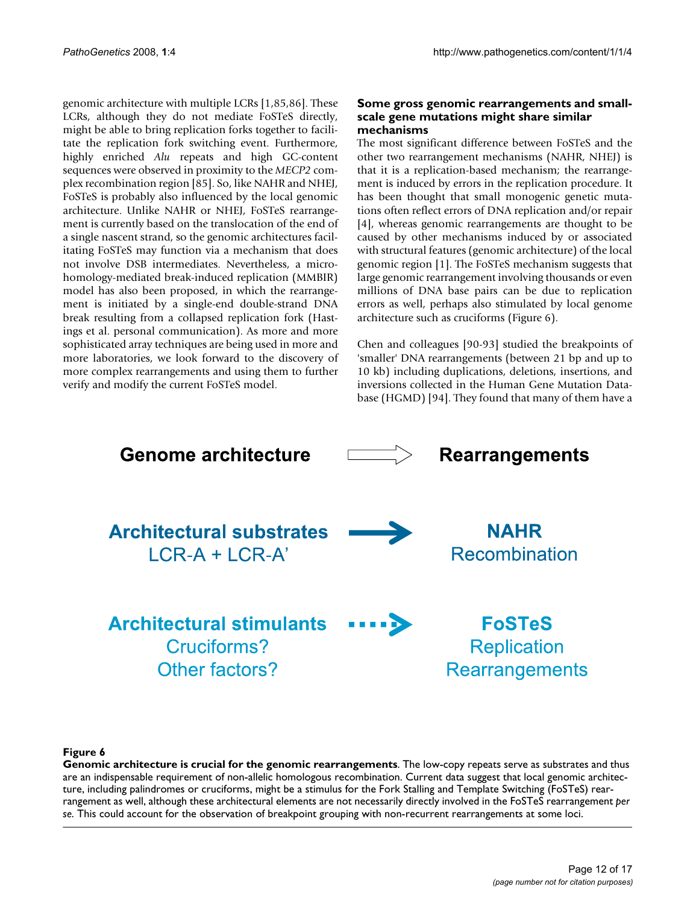genomic architecture with multiple LCRs [1,85,86]. These LCRs, although they do not mediate FoSTeS directly, might be able to bring replication forks together to facilitate the replication fork switching event. Furthermore, highly enriched *Alu* repeats and high GC-content sequences were observed in proximity to the *MECP2* complex recombination region [85]. So, like NAHR and NHEJ, FoSTeS is probably also influenced by the local genomic architecture. Unlike NAHR or NHEJ, FoSTeS rearrangement is currently based on the translocation of the end of a single nascent strand, so the genomic architectures facilitating FoSTeS may function via a mechanism that does not involve DSB intermediates. Nevertheless, a microhomology-mediated break-induced replication (MMBIR) model has also been proposed, in which the rearrangement is initiated by a single-end double-strand DNA break resulting from a collapsed replication fork (Hastings et al. personal communication). As more and more sophisticated array techniques are being used in more and more laboratories, we look forward to the discovery of more complex rearrangements and using them to further verify and modify the current FoSTeS model.

## **Some gross genomic rearrangements and smallscale gene mutations might share similar mechanisms**

The most significant difference between FoSTeS and the other two rearrangement mechanisms (NAHR, NHEJ) is that it is a replication-based mechanism; the rearrangement is induced by errors in the replication procedure. It has been thought that small monogenic genetic mutations often reflect errors of DNA replication and/or repair [4], whereas genomic rearrangements are thought to be caused by other mechanisms induced by or associated with structural features (genomic architecture) of the local genomic region [1]. The FoSTeS mechanism suggests that large genomic rearrangement involving thousands or even millions of DNA base pairs can be due to replication errors as well, perhaps also stimulated by local genome architecture such as cruciforms (Figure 6).

Chen and colleagues [90-93] studied the breakpoints of 'smaller' DNA rearrangements (between 21 bp and up to 10 kb) including duplications, deletions, insertions, and inversions collected in the Human Gene Mutation Database (HGMD) [94]. They found that many of them have a



#### Figure 6

**Genomic architecture is crucial for the genomic rearrangements**. The low-copy repeats serve as substrates and thus are an indispensable requirement of non-allelic homologous recombination. Current data suggest that local genomic architecture, including palindromes or cruciforms, might be a stimulus for the Fork Stalling and Template Switching (FoSTeS) rearrangement as well, although these architectural elements are not necessarily directly involved in the FoSTeS rearrangement *per se*. This could account for the observation of breakpoint grouping with non-recurrent rearrangements at some loci.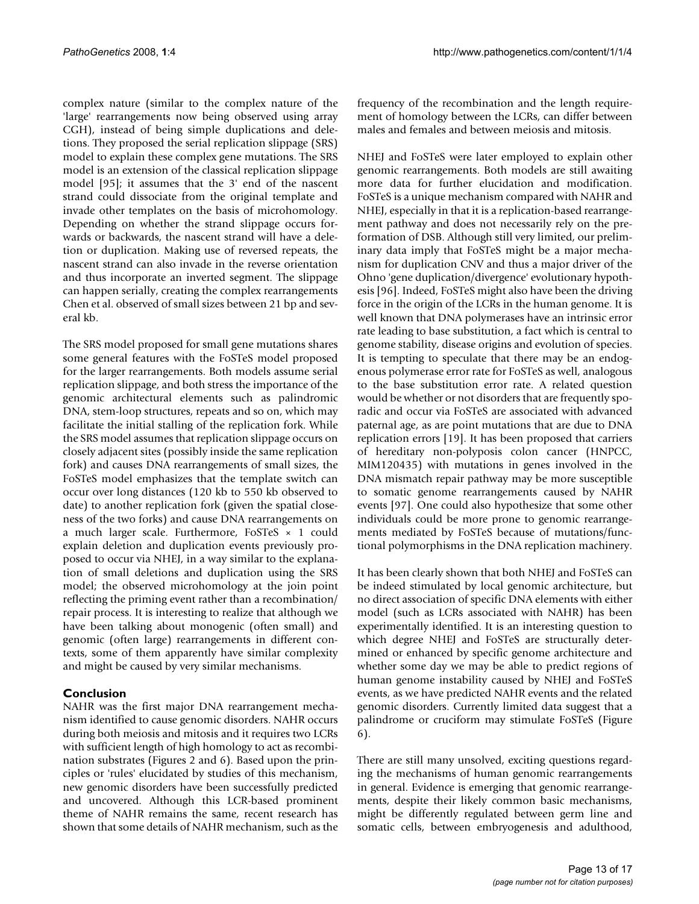complex nature (similar to the complex nature of the 'large' rearrangements now being observed using array CGH), instead of being simple duplications and deletions. They proposed the serial replication slippage (SRS) model to explain these complex gene mutations. The SRS model is an extension of the classical replication slippage model [95]; it assumes that the 3' end of the nascent strand could dissociate from the original template and invade other templates on the basis of microhomology. Depending on whether the strand slippage occurs forwards or backwards, the nascent strand will have a deletion or duplication. Making use of reversed repeats, the nascent strand can also invade in the reverse orientation and thus incorporate an inverted segment. The slippage can happen serially, creating the complex rearrangements Chen et al. observed of small sizes between 21 bp and several kb.

The SRS model proposed for small gene mutations shares some general features with the FoSTeS model proposed for the larger rearrangements. Both models assume serial replication slippage, and both stress the importance of the genomic architectural elements such as palindromic DNA, stem-loop structures, repeats and so on, which may facilitate the initial stalling of the replication fork. While the SRS model assumes that replication slippage occurs on closely adjacent sites (possibly inside the same replication fork) and causes DNA rearrangements of small sizes, the FoSTeS model emphasizes that the template switch can occur over long distances (120 kb to 550 kb observed to date) to another replication fork (given the spatial closeness of the two forks) and cause DNA rearrangements on a much larger scale. Furthermore, FoSTeS × 1 could explain deletion and duplication events previously proposed to occur via NHEJ, in a way similar to the explanation of small deletions and duplication using the SRS model; the observed microhomology at the join point reflecting the priming event rather than a recombination/ repair process. It is interesting to realize that although we have been talking about monogenic (often small) and genomic (often large) rearrangements in different contexts, some of them apparently have similar complexity and might be caused by very similar mechanisms.

# **Conclusion**

NAHR was the first major DNA rearrangement mechanism identified to cause genomic disorders. NAHR occurs during both meiosis and mitosis and it requires two LCRs with sufficient length of high homology to act as recombination substrates (Figures 2 and 6). Based upon the principles or 'rules' elucidated by studies of this mechanism, new genomic disorders have been successfully predicted and uncovered. Although this LCR-based prominent theme of NAHR remains the same, recent research has shown that some details of NAHR mechanism, such as the frequency of the recombination and the length requirement of homology between the LCRs, can differ between males and females and between meiosis and mitosis.

NHEJ and FoSTeS were later employed to explain other genomic rearrangements. Both models are still awaiting more data for further elucidation and modification. FoSTeS is a unique mechanism compared with NAHR and NHEJ, especially in that it is a replication-based rearrangement pathway and does not necessarily rely on the preformation of DSB. Although still very limited, our preliminary data imply that FoSTeS might be a major mechanism for duplication CNV and thus a major driver of the Ohno 'gene duplication/divergence' evolutionary hypothesis [96]. Indeed, FoSTeS might also have been the driving force in the origin of the LCRs in the human genome. It is well known that DNA polymerases have an intrinsic error rate leading to base substitution, a fact which is central to genome stability, disease origins and evolution of species. It is tempting to speculate that there may be an endogenous polymerase error rate for FoSTeS as well, analogous to the base substitution error rate. A related question would be whether or not disorders that are frequently sporadic and occur via FoSTeS are associated with advanced paternal age, as are point mutations that are due to DNA replication errors [19]. It has been proposed that carriers of hereditary non-polyposis colon cancer (HNPCC, MIM120435) with mutations in genes involved in the DNA mismatch repair pathway may be more susceptible to somatic genome rearrangements caused by NAHR events [97]. One could also hypothesize that some other individuals could be more prone to genomic rearrangements mediated by FoSTeS because of mutations/functional polymorphisms in the DNA replication machinery.

It has been clearly shown that both NHEJ and FoSTeS can be indeed stimulated by local genomic architecture, but no direct association of specific DNA elements with either model (such as LCRs associated with NAHR) has been experimentally identified. It is an interesting question to which degree NHEJ and FoSTeS are structurally determined or enhanced by specific genome architecture and whether some day we may be able to predict regions of human genome instability caused by NHEJ and FoSTeS events, as we have predicted NAHR events and the related genomic disorders. Currently limited data suggest that a palindrome or cruciform may stimulate FoSTeS (Figure 6).

There are still many unsolved, exciting questions regarding the mechanisms of human genomic rearrangements in general. Evidence is emerging that genomic rearrangements, despite their likely common basic mechanisms, might be differently regulated between germ line and somatic cells, between embryogenesis and adulthood,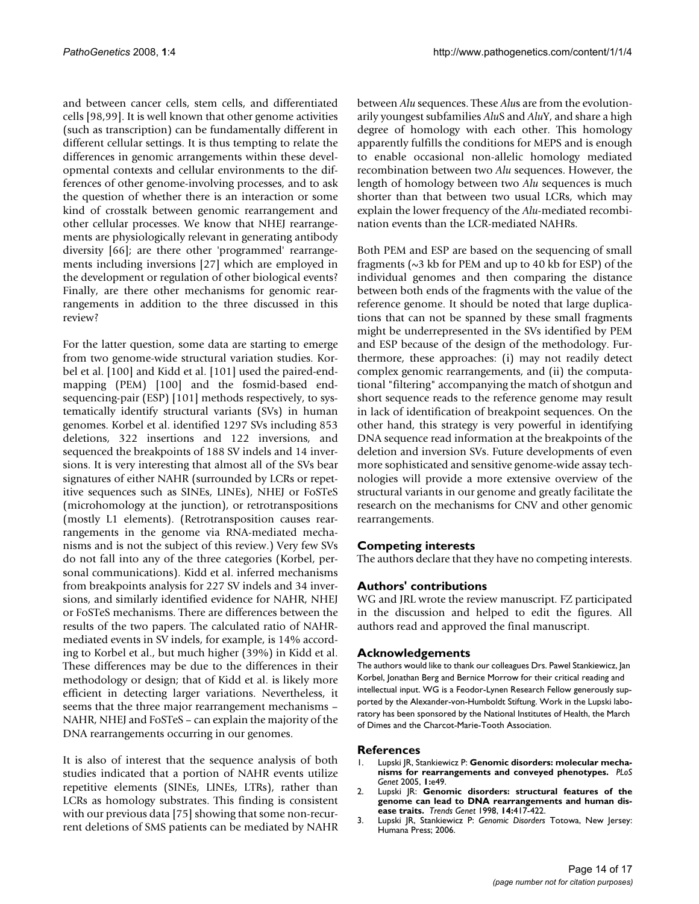and between cancer cells, stem cells, and differentiated cells [98,99]. It is well known that other genome activities (such as transcription) can be fundamentally different in different cellular settings. It is thus tempting to relate the differences in genomic arrangements within these developmental contexts and cellular environments to the differences of other genome-involving processes, and to ask the question of whether there is an interaction or some kind of crosstalk between genomic rearrangement and other cellular processes. We know that NHEJ rearrangements are physiologically relevant in generating antibody diversity [66]; are there other 'programmed' rearrangements including inversions [27] which are employed in the development or regulation of other biological events? Finally, are there other mechanisms for genomic rearrangements in addition to the three discussed in this review?

For the latter question, some data are starting to emerge from two genome-wide structural variation studies. Korbel et al. [100] and Kidd et al. [101] used the paired-endmapping (PEM) [100] and the fosmid-based endsequencing-pair (ESP) [101] methods respectively, to systematically identify structural variants (SVs) in human genomes. Korbel et al. identified 1297 SVs including 853 deletions, 322 insertions and 122 inversions, and sequenced the breakpoints of 188 SV indels and 14 inversions. It is very interesting that almost all of the SVs bear signatures of either NAHR (surrounded by LCRs or repetitive sequences such as SINEs, LINEs), NHEJ or FoSTeS (microhomology at the junction), or retrotranspositions (mostly L1 elements). (Retrotransposition causes rearrangements in the genome via RNA-mediated mechanisms and is not the subject of this review.) Very few SVs do not fall into any of the three categories (Korbel, personal communications). Kidd et al. inferred mechanisms from breakpoints analysis for 227 SV indels and 34 inversions, and similarly identified evidence for NAHR, NHEJ or FoSTeS mechanisms. There are differences between the results of the two papers. The calculated ratio of NAHRmediated events in SV indels, for example, is 14% according to Korbel et al., but much higher (39%) in Kidd et al. These differences may be due to the differences in their methodology or design; that of Kidd et al. is likely more efficient in detecting larger variations. Nevertheless, it seems that the three major rearrangement mechanisms – NAHR, NHEJ and FoSTeS – can explain the majority of the DNA rearrangements occurring in our genomes.

It is also of interest that the sequence analysis of both studies indicated that a portion of NAHR events utilize repetitive elements (SINEs, LINEs, LTRs), rather than LCRs as homology substrates. This finding is consistent with our previous data [75] showing that some non-recurrent deletions of SMS patients can be mediated by NAHR between *Alu* sequences. These *Alu*s are from the evolutionarily youngest subfamilies *Alu*S and *Alu*Y, and share a high degree of homology with each other. This homology apparently fulfills the conditions for MEPS and is enough to enable occasional non-allelic homology mediated recombination between two *Alu* sequences. However, the length of homology between two *Alu* sequences is much shorter than that between two usual LCRs, which may explain the lower frequency of the *Alu*-mediated recombination events than the LCR-mediated NAHRs.

Both PEM and ESP are based on the sequencing of small fragments ( $\sim$ 3 kb for PEM and up to 40 kb for ESP) of the individual genomes and then comparing the distance between both ends of the fragments with the value of the reference genome. It should be noted that large duplications that can not be spanned by these small fragments might be underrepresented in the SVs identified by PEM and ESP because of the design of the methodology. Furthermore, these approaches: (i) may not readily detect complex genomic rearrangements, and (ii) the computational "filtering" accompanying the match of shotgun and short sequence reads to the reference genome may result in lack of identification of breakpoint sequences. On the other hand, this strategy is very powerful in identifying DNA sequence read information at the breakpoints of the deletion and inversion SVs. Future developments of even more sophisticated and sensitive genome-wide assay technologies will provide a more extensive overview of the structural variants in our genome and greatly facilitate the research on the mechanisms for CNV and other genomic rearrangements.

# **Competing interests**

The authors declare that they have no competing interests.

# **Authors' contributions**

WG and JRL wrote the review manuscript. FZ participated in the discussion and helped to edit the figures. All authors read and approved the final manuscript.

### **Acknowledgements**

The authors would like to thank our colleagues Drs. Pawel Stankiewicz, Jan Korbel, Jonathan Berg and Bernice Morrow for their critical reading and intellectual input. WG is a Feodor-Lynen Research Fellow generously supported by the Alexander-von-Humboldt Stiftung. Work in the Lupski laboratory has been sponsored by the National Institutes of Health, the March of Dimes and the Charcot-Marie-Tooth Association.

### **References**

- 1. Lupski JR, Stankiewicz P: **Genomic disorders: molecular mechanisms for rearrangements and conveyed phenotypes.** *PLoS Genet* 2005, **1:**e49.
- 2. Lupski JR: **Genomic disorders: structural features of the genome can lead to DNA rearrangements and human disease traits.** *Trends Genet* 1998, **14:**417-422.
- 3. Lupski JR, Stankiewicz P: *Genomic Disorders* Totowa, New Jersey: Humana Press; 2006.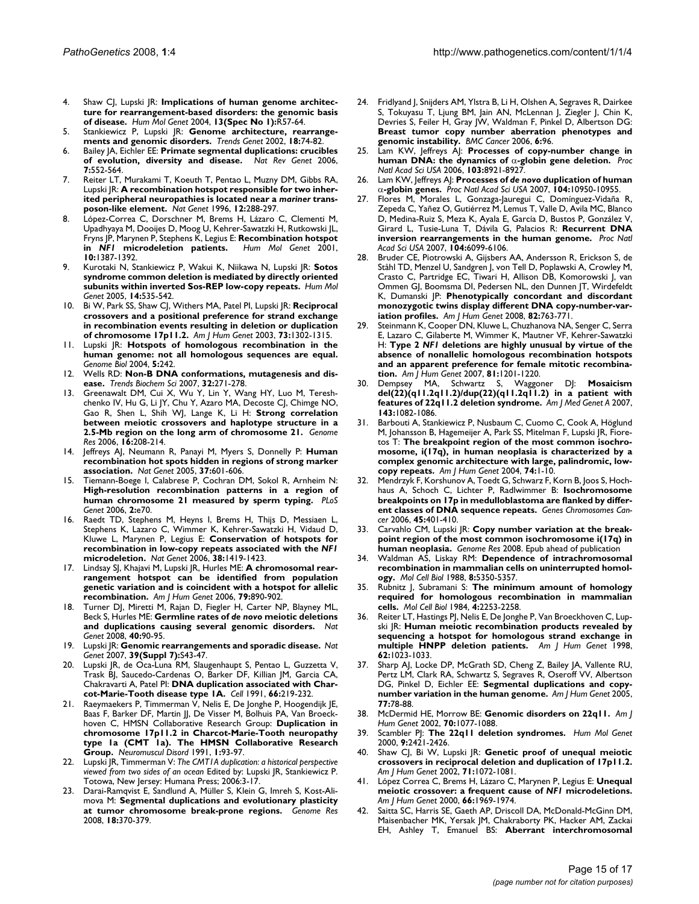- 4. Shaw CJ, Lupski JR: **Implications of human genome architecture for rearrangement-based disorders: the genomic basis of disease.** *Hum Mol Genet* 2004, **13(Spec No 1):**R57-64.
- 5. Stankiewicz P, Lupski JR: **Genome architecture, rearrangements and genomic disorders.** *Trends Genet* 2002, **18:**74-82.
- 6. Bailey JA, Eichler EE: **Primate segmental duplications: crucibles of evolution, diversity and disease.** *Nat Rev Genet* 2006, **7:**552-564.
- 7. Reiter LT, Murakami T, Koeuth T, Pentao L, Muzny DM, Gibbs RA, Lupski JR: **A recombination hotspot responsible for two inherited peripheral neuropathies is located near a** *mariner* **transposon-like element.** *Nat Genet* 1996, **12:**288-297.
- López-Correa C, Dorschner M, Brems H, Lázaro C, Clementi M, Upadhyaya M, Dooijes D, Moog U, Kehrer-Sawatzki H, Rutkowski JL, Fryns JP, Marynen P, Stephens K, Legius E: **Recombination hotspot in** *NF1* **microdeletion patients.** *Hum Mol Genet* 2001, **10:**1387-1392.
- 9. Kurotaki N, Stankiewicz P, Wakui K, Niikawa N, Lupski JR: **Sotos syndrome common deletion is mediated by directly oriented subunits within inverted Sos-REP low-copy repeats.** *Hum Mol Genet* 2005, **14:**535-542.
- 10. Bi W, Park SS, Shaw CJ, Withers MA, Patel PI, Lupski JR: **Reciprocal crossovers and a positional preference for strand exchange in recombination events resulting in deletion or duplication of chromosome 17p11.2.** *Am J Hum Genet* 2003, **73:**1302-1315.
- 11. Lupski JR: **Hotspots of homologous recombination in the human genome: not all homologous sequences are equal.** *Genome Biol* 2004, **5:**242.
- 12. Wells RD: **Non-B DNA conformations, mutagenesis and disease.** *Trends Biochem Sci* 2007, **32:**271-278.
- 13. Greenawalt DM, Cui X, Wu Y, Lin Y, Wang HY, Luo M, Tereshchenko IV, Hu G, Li JY, Chu Y, Azaro MA, Decoste CJ, Chimge NO, Gao R, Shen L, Shih WJ, Lange K, Li H: **Strong correlation between meiotic crossovers and haplotype structure in a 2.5-Mb region on the long arm of chromosome 21.** *Genome Res* 2006, **16:**208-214.
- 14. Jeffreys AJ, Neumann R, Panayi M, Myers S, Donnelly P: **Human recombination hot spots hidden in regions of strong marker association.** *Nat Genet* 2005, **37:**601-606.
- Tiemann-Boege I, Calabrese P, Cochran DM, Sokol R, Arnheim N: **High-resolution recombination patterns in a region of human chromosome 21 measured by sperm typing.** *PLoS Genet* 2006, **2:**e70.
- 16. Raedt TD, Stephens M, Heyns I, Brems H, Thijs D, Messiaen L, Stephens K, Lazaro C, Wimmer K, Kehrer-Sawatzki H, Vidaud D, Kluwe L, Marynen P, Legius E: **Conservation of hotspots for recombination in low-copy repeats associated with the** *NF1* **microdeletion.** *Nat Genet* 2006, **38:**1419-1423.
- 17. Lindsay SJ, Khajavi M, Lupski JR, Hurles ME: **A chromosomal rearrangement hotspot can be identified from population genetic variation and is coincident with a hotspot for allelic recombination.** *Am J Hum Genet* 2006, **79:**890-902.
- 18. Turner DJ, Miretti M, Rajan D, Fiegler H, Carter NP, Blayney ML, Beck S, Hurles ME: **Germline rates of** *de novo* **meiotic deletions and duplications causing several genomic disorders.** *Nat Genet* 2008, **40:**90-95.
- 19. Lupski JR: **Genomic rearrangements and sporadic disease.** *Nat Genet* 2007, **39(Suppl 7):**S43-47.
- 20. Lupski JR, de Oca-Luna RM, Slaugenhaupt S, Pentao L, Guzzetta V, Trask BJ, Saucedo-Cardenas O, Barker DF, Killian JM, Garcia CA, Chakravarti A, Patel PI: **DNA duplication associated with Charcot-Marie-Tooth disease type 1A.** *Cell* 1991, **66:**219-232.
- Raeymaekers P, Timmerman V, Nelis E, De Jonghe P, Hoogendijk JE, Baas F, Barker DF, Martin JJ, De Visser M, Bolhuis PA, Van Broeckhoven C, HMSN Collaborative Research Group: **Duplication in chromosome 17p11.2 in Charcot-Marie-Tooth neuropathy type 1a (CMT 1a). The HMSN Collaborative Research Group.** *Neuromuscul Disord* 1991, **1:**93-97.
- 22. Lupski JR, Timmerman V: *The CMT1A duplication: a historical perspective viewed from two sides of an ocean* Edited by: Lupski JR, Stankiewicz P. Totowa, New Jersey: Humana Press; 2006:3-17.
- 23. Darai-Ramqvist E, Sandlund A, Müller S, Klein G, Imreh S, Kost-Alimova M: **Segmental duplications and evolutionary plasticity at tumor chromosome break-prone regions.** *Genome Res* 2008, **18:**370-379.
- 24. Fridlyand J, Snijders AM, Ylstra B, Li H, Olshen A, Segraves R, Dairkee S, Tokuyasu T, Ljung BM, Jain AN, McLennan J, Ziegler J, Chin K, Devries S, Feiler H, Gray JW, Waldman F, Pinkel D, Albertson DG: **Breast tumor copy number aberration phenotypes and genomic instability.** *BMC Cancer* 2006, **6:**96.
- 25. Lam KW, Jeffreys AJ: **Processes of copy-number change in human DNA: the dynamics of -globin gene deletion.** *Proc Natl Acad Sci USA* 2006, **103:**8921-8927.
- 26. Lam KW, Jeffreys AJ: **Processes of** *de novo* **duplication of human -globin genes.** *Proc Natl Acad Sci USA* 2007, **104:**10950-10955.
- 27. Flores M, Morales L, Gonzaga-Jauregui C, Domínguez-Vidaña R, Zepeda C, Yañez O, Gutiérrez M, Lemus T, Valle D, Avila MC, Blanco D, Medina-Ruiz S, Meza K, Ayala E, García D, Bustos P, González V, Girard L, Tusie-Luna T, Dávila G, Palacios R: **Recurrent DNA inversion rearrangements in the human genome.** *Proc Natl Acad Sci USA* 2007, **104:**6099-6106.
- 28. Bruder CE, Piotrowski A, Gijsbers AA, Andersson R, Erickson S, de Ståhl TD, Menzel U, Sandgren J, von Tell D, Poplawski A, Crowley M, Crasto C, Partridge EC, Tiwari H, Allison DB, Komorowski J, van Ommen GJ, Boomsma DI, Pedersen NL, den Dunnen JT, Wirdefeldt K, Dumanski JP: **Phenotypically concordant and discordant monozygotic twins display different DNA copy-number-variation profiles.** *Am J Hum Genet* 2008, **82:**763-771.
- 29. Steinmann K, Cooper DN, Kluwe L, Chuzhanova NA, Senger C, Serra E, Lazaro C, Gilaberte M, Wimmer K, Mautner VF, Kehrer-Sawatzki H: **Type 2** *NF1* **deletions are highly unusual by virtue of the absence of nonallelic homologous recombination hotspots and an apparent preference for female mitotic recombination.** *Am J Hum Genet* 2007, **81:**1201-1220.
- 30. Dempsey MA, Schwartz S, Waggoner DJ: **Mosaicism del(22)(q11.2q11.2)/dup(22)(q11.2q11.2) in a patient with features of 22q11.2 deletion syndrome.** *Am J Med Genet A* 2007, **143:**1082-1086.
- 31. Barbouti A, Stankiewicz P, Nusbaum C, Cuomo C, Cook A, Höglund M, Johansson B, Hagemeijer A, Park SS, Mitelman F, Lupski JR, Fioretos T: **The breakpoint region of the most common isochromosome, i(17q), in human neoplasia is characterized by a complex genomic architecture with large, palindromic, lowcopy repeats.** *Am J Hum Genet* 2004, **74:**1-10.
- Mendrzyk F, Korshunov A, Toedt G, Schwarz F, Korn B, Joos S, Hochhaus A, Schoch C, Lichter P, Radlwimmer B: **Isochromosome breakpoints on 17p in medulloblastoma are flanked by different classes of DNA sequence repeats.** *Genes Chromosomes Cancer* 2006, **45:**401-410.
- 33. Carvahlo CM, Lupski JR: **[Copy number variation at the break](http://www.ncbi.nlm.nih.gov/entrez/query.fcgi?cmd=Retrieve&db=PubMed&dopt=Abstract&list_uids=18714090)[point region of the most common isochromosome i\(17q\) in](http://www.ncbi.nlm.nih.gov/entrez/query.fcgi?cmd=Retrieve&db=PubMed&dopt=Abstract&list_uids=18714090) [human neoplasia.](http://www.ncbi.nlm.nih.gov/entrez/query.fcgi?cmd=Retrieve&db=PubMed&dopt=Abstract&list_uids=18714090)** *Genome Res* 2008. Epub ahead of publication
- 34. Waldman AS, Liskay RM: **Dependence of intrachromosomal recombination in mammalian cells on uninterrupted homology.** *Mol Cell Biol* 1988, **8:**5350-5357.
- 35. Rubnitz J, Subramani S: **The minimum amount of homology required for homologous recombination in mammalian cells.** *Mol Cell Biol* 1984, **4:**2253-2258.
- Reiter LT, Hastings PJ, Nelis E, De Jonghe P, Van Broeckhoven C, Lupski JR: **Human meiotic recombination products revealed by sequencing a hotspot for homologous strand exchange in multiple HNPP deletion patients.** *Am J Hum Genet* 1998, **62:**1023-1033.
- Sharp AJ, Locke DP, McGrath SD, Cheng Z, Bailey JA, Vallente RU, Pertz LM, Clark RA, Schwartz S, Segraves R, Oseroff VV, Albertson DG, Pinkel D, Eichler EE: **Segmental duplications and copynumber variation in the human genome.** *Am J Hum Genet* 2005, **77:**78-88.
- 38. McDermid HE, Morrow BE: **Genomic disorders on 22q11.** *Am J Hum Genet* 2002, **70:**1077-1088.
- 39. Scambler PJ: **The 22q11 deletion syndromes.** *Hum Mol Genet* 2000, **9:**2421-2426.
- 40. Shaw CJ, Bi W, Lupski JR: **Genetic proof of unequal meiotic crossovers in reciprocal deletion and duplication of 17p11.2.** *Am J Hum Genet* 2002, **71:**1072-1081.
- 41. López Correa C, Brems H, Lázaro C, Marynen P, Legius E: **Unequal meiotic crossover: a frequent cause of** *NF1* **microdeletions.** *Am J Hum Genet* 2000, **66:**1969-1974.
- 42. Saitta SC, Harris SE, Gaeth AP, Driscoll DA, McDonald-McGinn DM, Maisenbacher MK, Yersak JM, Chakraborty PK, Hacker AM, Zackai EH, Ashley T, Emanuel BS: **Aberrant interchromosomal**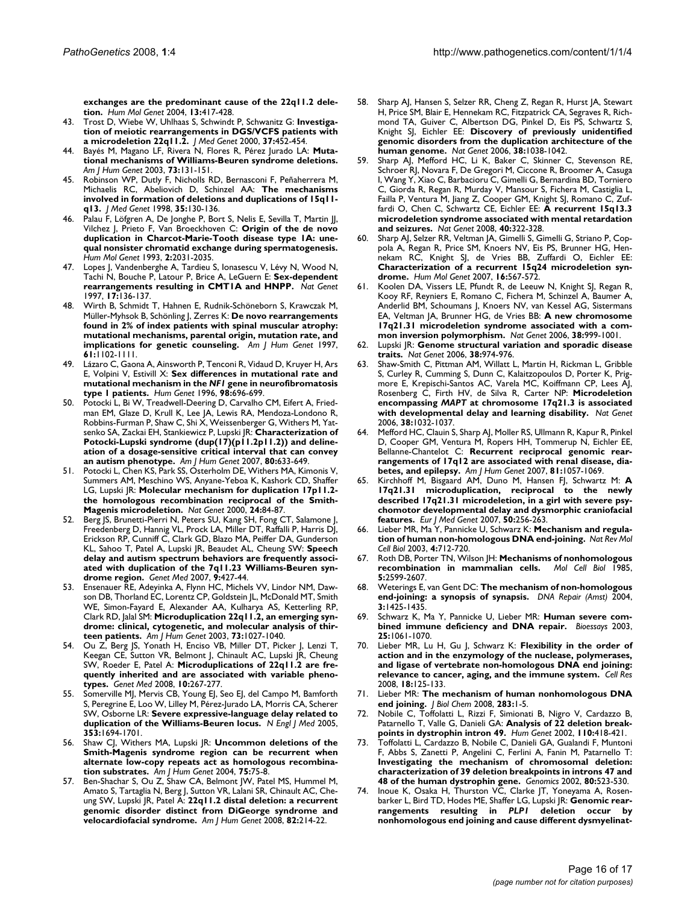**exchanges are the predominant cause of the 22q11.2 deletion.** *Hum Mol Genet* 2004, **13:**417-428.

- 43. Trost D, Wiebe W, Uhlhaas S, Schwindt P, Schwanitz G: **Investigation of meiotic rearrangements in DGS/VCFS patients with a microdeletion 22q11.2.** *J Med Genet* 2000, **37:**452-454.
- 44. Bayés M, Magano LF, Rivera N, Flores R, Pérez Jurado LA: **Mutational mechanisms of Williams-Beuren syndrome deletions.** *Am J Hum Genet* 2003, **73:**131-151.
- 45. Robinson WP, Dutly F, Nicholls RD, Bernasconi F, Peñaherrera M, Michaelis RC, Abeliovich D, Schinzel AA: **The mechanisms involved in formation of deletions and duplications of 15q11 q13.** *J Med Genet* 1998, **35:**130-136.
- 46. Palau F, Löfgren A, De Jonghe P, Bort S, Nelis E, Sevilla T, Martin JJ, Vilchez J, Prieto F, Van Broeckhoven C: **Origin of the de novo duplication in Charcot-Marie-Tooth disease type 1A: unequal nonsister chromatid exchange during spermatogenesis.** *Hum Mol Genet* 1993, **2:**2031-2035.
- 47. Lopes J, Vandenberghe A, Tardieu S, Ionasescu V, Lévy N, Wood N, Tachi N, Bouche P, Latour P, Brice A, LeGuern E: **Sex-dependent rearrangements resulting in CMT1A and HNPP.** *Nat Genet* 1997, **17:**136-137.
- 48. Wirth B, Schmidt T, Hahnen E, Rudnik-Schöneborn S, Krawczak M, Müller-Myhsok B, Schönling J, Zerres K: **De novo rearrangements found in 2% of index patients with spinal muscular atrophy: mutational mechanisms, parental origin, mutation rate, and implications for genetic counseling.** *Am J Hum Genet* 1997, **61:**1102-1111.
- 49. Lázaro C, Gaona A, Ainsworth P, Tenconi R, Vidaud D, Kruyer H, Ars E, Volpini V, Estivill X: **Sex differences in mutational rate and mutational mechanism in the** *NF1* **gene in neurofibromatosis type 1 patients.** *Hum Genet* 1996, **98:**696-699.
- 50. Potocki L, Bi W, Treadwell-Deering D, Carvalho CM, Eifert A, Friedman EM, Glaze D, Krull K, Lee JA, Lewis RA, Mendoza-Londono R, Robbins-Furman P, Shaw C, Shi X, Weissenberger G, Withers M, Yatsenko SA, Zackai EH, Stankiewicz P, Lupski JR: **Characterization of Potocki-Lupski syndrome (dup(17)(p11.2p11.2)) and delineation of a dosage-sensitive critical interval that can convey an autism phenotype.** *Am J Hum Genet* 2007, **80:**633-649.
- 51. Potocki L, Chen KS, Park SS, Osterholm DE, Withers MA, Kimonis V, Summers AM, Meschino WS, Anyane-Yeboa K, Kashork CD, Shaffer LG, Lupski JR: **Molecular mechanism for duplication 17p11.2 the homologous recombination reciprocal of the Smith-Magenis microdeletion.** *Nat Genet* 2000, **24:**84-87.
- 52. Berg JS, Brunetti-Pierri N, Peters SU, Kang SH, Fong CT, Salamone J, Freedenberg D, Hannig VL, Prock LA, Miller DT, Raffalli P, Harris DJ, Erickson RP, Cunniff C, Clark GD, Blazo MA, Peiffer DA, Gunderson KL, Sahoo T, Patel A, Lupski JR, Beaudet AL, Cheung SW: **Speech delay and autism spectrum behaviors are frequently associated with duplication of the 7q11.23 Williams-Beuren syndrome region.** *Genet Med* 2007, **9:**427-44.
- 53. Ensenauer RE, Adeyinka A, Flynn HC, Michels VV, Lindor NM, Dawson DB, Thorland EC, Lorentz CP, Goldstein JL, McDonald MT, Smith WE, Simon-Fayard E, Alexander AA, Kulharya AS, Ketterling RP, Clark RD, Jalal SM: **Microduplication 22q11.2, an emerging syndrome: clinical, cytogenetic, and molecular analysis of thirteen patients.** *Am J Hum Genet* 2003, **73:**1027-1040.
- 54. Ou Z, Berg JS, Yonath H, Enciso VB, Miller DT, Picker J, Lenzi T, Keegan CE, Sutton VR, Belmont J, Chinault AC, Lupski JR, Cheung SW, Roeder E, Patel A: **Microduplications of 22q11.2 are frequently inherited and are associated with variable phenotypes.** *Genet Med* 2008, **10:**267-277.
- 55. Somerville MJ, Mervis CB, Young EJ, Seo EJ, del Campo M, Bamforth S, Peregrine E, Loo W, Lilley M, Pérez-Jurado LA, Morris CA, Scherer SW, Osborne LR: **Severe expressive-language delay related to duplication of the Williams-Beuren locus.** *N Engl J Med* 2005, **353:**1694-1701.
- 56. Shaw CJ, Withers MA, Lupski JR: **Uncommon deletions of the Smith-Magenis syndrome region can be recurrent when alternate low-copy repeats act as homologous recombination substrates.** *Am J Hum Genet* 2004, **75:**75-8.
- 57. Ben-Shachar S, Ou Z, Shaw CA, Belmont JW, Patel MS, Hummel M, Amato S, Tartaglia N, Berg J, Sutton VR, Lalani SR, Chinault AC, Cheung SW, Lupski JR, Patel A: **22q11.2 distal deletion: a recurrent genomic disorder distinct from DiGeorge syndrome and velocardiofacial syndrome.** *Am J Hum Genet* 2008, **82:**214-22.
- 58. Sharp AJ, Hansen S, Selzer RR, Cheng Z, Regan R, Hurst JA, Stewart H, Price SM, Blair E, Hennekam RC, Fitzpatrick CA, Segraves R, Richmond TA, Guiver C, Albertson DG, Pinkel D, Eis PS, Schwartz S, Knight SJ, Eichler EE: **Discovery of previously unidentified genomic disorders from the duplication architecture of the human genome.** *Nat Genet* 2006, **38:**1038-1042.
- 59. Sharp AJ, Mefford HC, Li K, Baker C, Skinner C, Stevenson RE, Schroer RJ, Novara F, De Gregori M, Ciccone R, Broomer A, Casuga I, Wang Y, Xiao C, Barbacioru C, Gimelli G, Bernardina BD, Torniero C, Giorda R, Regan R, Murday V, Mansour S, Fichera M, Castiglia L, Failla P, Ventura M, Jiang Z, Cooper GM, Knight SJ, Romano C, Zuffardi O, Chen C, Schwartz CE, Eichler EE: **A recurrent 15q13.3 microdeletion syndrome associated with mental retardation and seizures.** *Nat Genet* 2008, **40:**322-328.
- 60. Sharp AJ, Selzer RR, Veltman JA, Gimelli S, Gimelli G, Striano P, Coppola A, Regan R, Price SM, Knoers NV, Eis PS, Brunner HG, Hennekam RC, Knight SJ, de Vries BB, Zuffardi O, Eichler EE: **Characterization of a recurrent 15q24 microdeletion syndrome.** *Hum Mol Genet* 2007, **16:**567-572.
- 61. Koolen DA, Vissers LE, Pfundt R, de Leeuw N, Knight SJ, Regan R, Kooy RF, Reyniers E, Romano C, Fichera M, Schinzel A, Baumer A, Anderlid BM, Schoumans J, Knoers NV, van Kessel AG, Sistermans EA, Veltman JA, Brunner HG, de Vries BB: **A new chromosome 17q21.31 microdeletion syndrome associated with a common inversion polymorphism.** *Nat Genet* 2006, **38:**999-1001.
- 62. Lupski JR: **Genome structural variation and sporadic disease traits.** *Nat Genet* 2006, **38:**974-976.
- 63. Shaw-Smith C, Pittman AM, Willatt L, Martin H, Rickman L, Gribble S, Curley R, Cumming S, Dunn C, Kalaitzopoulos D, Porter K, Prigmore E, Krepischi-Santos AC, Varela MC, Koiffmann CP, Lees AJ, Rosenberg C, Firth HV, de Silva R, Carter NP: **Microdeletion encompassing** *MAPT* **at chromosome 17q21.3 is associated with developmental delay and learning disability.** *Nat Genet* 2006, **38:**1032-1037.
- 64. Mefford HC, Clauin S, Sharp AJ, Moller RS, Ullmann R, Kapur R, Pinkel D, Cooper GM, Ventura M, Ropers HH, Tommerup N, Eichler EE, Bellanne-Chantelot C: **Recurrent reciprocal genomic rearrangements of 17q12 are associated with renal disease, diabetes, and epilepsy.** *Am J Hum Genet* 2007, **81:**1057-1069.
- 65. Kirchhoff M, Bisgaard AM, Duno M, Hansen FJ, Schwartz M: **A 17q21.31 microduplication, reciprocal to the newly described 17q21.31 microdeletion, in a girl with severe psychomotor developmental delay and dysmorphic craniofacial features.** *Eur J Med Genet* 2007, **50:**256-263.
- 66. Lieber MR, Ma Y, Pannicke U, Schwarz K: **Mechanism and regulation of human non-homologous DNA end-joining.** *Nat Rev Mol Cell Biol* 2003, **4:**712-720.
- 67. Roth DB, Porter TN, Wilson JH: **Mechanisms of nonhomologous recombination in mammalian cells.** *Mol Cell Biol* 1985, **5:**2599-2607.
- 68. Weterings E, van Gent DC: **The mechanism of non-homologous end-joining: a synopsis of synapsis.** *DNA Repair (Amst)* 2004, **3:**1425-1435.
- 69. Schwarz K, Ma Y, Pannicke U, Lieber MR: **Human severe combined immune deficiency and DNA repair.** *Bioessays* 2003, **25:**1061-1070.
- 70. Lieber MR, Lu H, Gu J, Schwarz K: **Flexibility in the order of action and in the enzymology of the nuclease, polymerases, and ligase of vertebrate non-homologous DNA end joining: relevance to cancer, aging, and the immune system.** *Cell Res* 2008, **18:**125-133.
- 71. Lieber MR: **The mechanism of human nonhomologous DNA end joining.** *J Biol Chem* 2008, **283:**1-5.
- Nobile C, Toffolatti L, Rizzi F, Simionati B, Nigro V, Cardazzo B, Patarnello T, Valle G, Danieli GA: **Analysis of 22 deletion breakpoints in dystrophin intron 49.** *Hum Genet* 2002, **110:**418-421.
- 73. Toffolatti L, Cardazzo B, Nobile C, Danieli GA, Gualandi F, Muntoni F, Abbs S, Zanetti P, Angelini C, Ferlini A, Fanin M, Patarnello T: **Investigating the mechanism of chromosomal deletion: characterization of 39 deletion breakpoints in introns 47 and 48 of the human dystrophin gene.** *Genomics* 2002, **80:**523-530.
- Inoue K, Osaka H, Thurston VC, Clarke JT, Yoneyama A, Rosenbarker L, Bird TD, Hodes ME, Shaffer LG, Lupski JR: **Genomic rearrangements resulting in** *PLP1* **deletion occur by nonhomologous end joining and cause different dysmyelinat-**